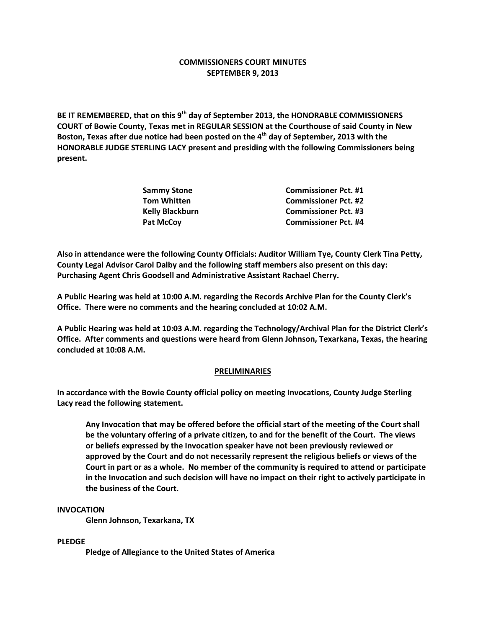# **COMMISSIONERS COURT MINUTES SEPTEMBER 9, 2013**

**BE IT REMEMBERED, that on this 9th day of September 2013, the HONORABLE COMMISSIONERS COURT of Bowie County, Texas met in REGULAR SESSION at the Courthouse of said County in New Boston, Texas after due notice had been posted on the 4th day of September, 2013 with the HONORABLE JUDGE STERLING LACY present and presiding with the following Commissioners being present.**

| <b>Commissioner Pct. #1</b> |
|-----------------------------|
| <b>Commissioner Pct. #2</b> |
| <b>Commissioner Pct. #3</b> |
| <b>Commissioner Pct. #4</b> |
|                             |

**Also in attendance were the following County Officials: Auditor William Tye, County Clerk Tina Petty, County Legal Advisor Carol Dalby and the following staff members also present on this day: Purchasing Agent Chris Goodsell and Administrative Assistant Rachael Cherry.**

**A Public Hearing was held at 10:00 A.M. regarding the Records Archive Plan for the County Clerk's Office. There were no comments and the hearing concluded at 10:02 A.M.**

**A Public Hearing was held at 10:03 A.M. regarding the Technology/Archival Plan for the District Clerk's Office. After comments and questions were heard from Glenn Johnson, Texarkana, Texas, the hearing concluded at 10:08 A.M.**

## **PRELIMINARIES**

**In accordance with the Bowie County official policy on meeting Invocations, County Judge Sterling Lacy read the following statement.**

**Any Invocation that may be offered before the official start of the meeting of the Court shall be the voluntary offering of a private citizen, to and for the benefit of the Court. The views or beliefs expressed by the Invocation speaker have not been previously reviewed or approved by the Court and do not necessarily represent the religious beliefs or views of the Court in part or as a whole. No member of the community is required to attend or participate in the Invocation and such decision will have no impact on their right to actively participate in the business of the Court.**

### **INVOCATION**

**Glenn Johnson, Texarkana, TX**

### **PLEDGE**

**Pledge of Allegiance to the United States of America**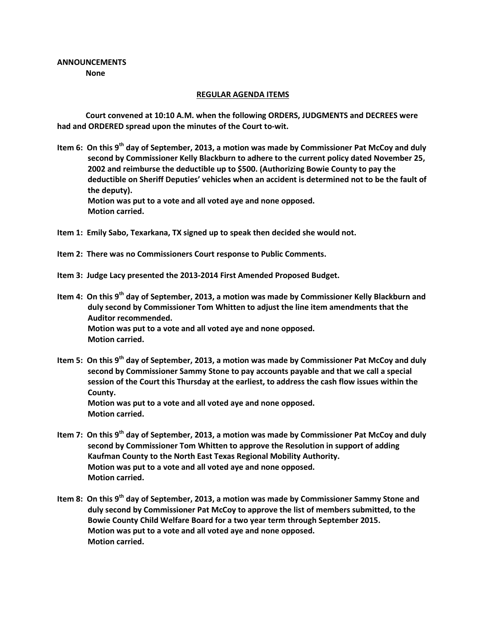# **ANNOUNCEMENTS None**

### **REGULAR AGENDA ITEMS**

**Court convened at 10:10 A.M. when the following ORDERS, JUDGMENTS and DECREES were had and ORDERED spread upon the minutes of the Court to-wit.**

- **Item 6: On this 9th day of September, 2013, a motion was made by Commissioner Pat McCoy and duly second by Commissioner Kelly Blackburn to adhere to the current policy dated November 25, 2002 and reimburse the deductible up to \$500. (Authorizing Bowie County to pay the deductible on Sheriff Deputies' vehicles when an accident is determined not to be the fault of the deputy). Motion was put to a vote and all voted aye and none opposed. Motion carried.**
- **Item 1: Emily Sabo, Texarkana, TX signed up to speak then decided she would not.**
- **Item 2: There was no Commissioners Court response to Public Comments.**
- **Item 3: Judge Lacy presented the 2013-2014 First Amended Proposed Budget.**
- **Item 4: On this 9th day of September, 2013, a motion was made by Commissioner Kelly Blackburn and duly second by Commissioner Tom Whitten to adjust the line item amendments that the Auditor recommended. Motion was put to a vote and all voted aye and none opposed. Motion carried.**
- **Item 5: On this 9th day of September, 2013, a motion was made by Commissioner Pat McCoy and duly second by Commissioner Sammy Stone to pay accounts payable and that we call a special session of the Court this Thursday at the earliest, to address the cash flow issues within the County. Motion was put to a vote and all voted aye and none opposed. Motion carried.**
- **Item 7: On this 9th day of September, 2013, a motion was made by Commissioner Pat McCoy and duly second by Commissioner Tom Whitten to approve the Resolution in support of adding Kaufman County to the North East Texas Regional Mobility Authority. Motion was put to a vote and all voted aye and none opposed. Motion carried.**
- **Item 8: On this 9th day of September, 2013, a motion was made by Commissioner Sammy Stone and duly second by Commissioner Pat McCoy to approve the list of members submitted, to the Bowie County Child Welfare Board for a two year term through September 2015. Motion was put to a vote and all voted aye and none opposed. Motion carried.**